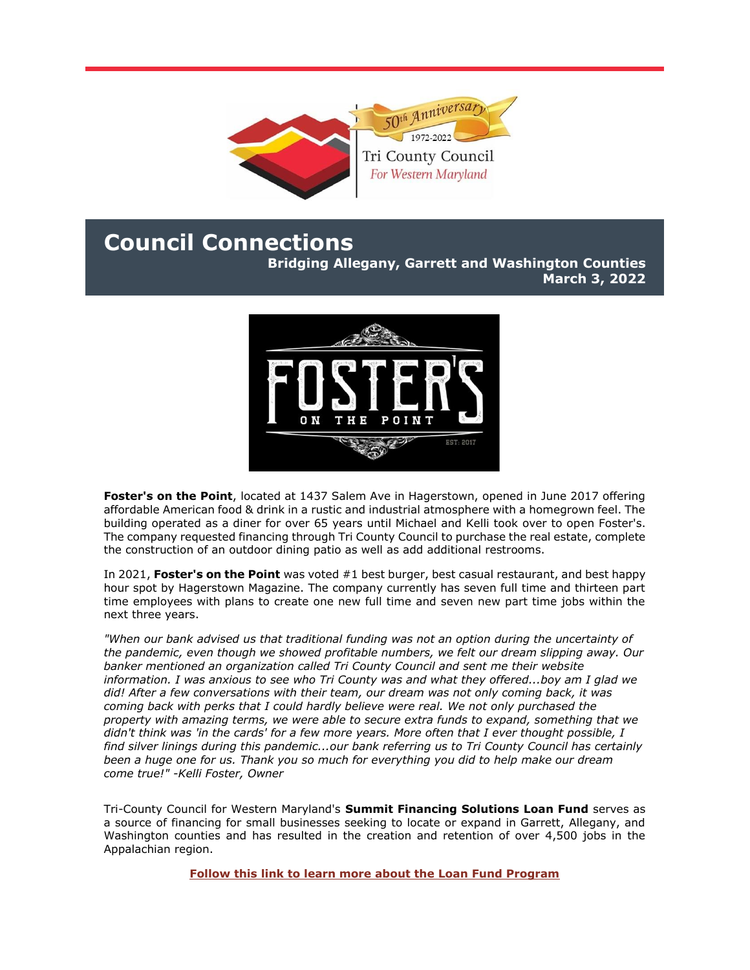

## **Council Connections**

**Bridging Allegany, Garrett and Washington Counties March 3, 2022**



**Foster's on the Point**, located at 1437 Salem Ave in Hagerstown, opened in June 2017 offering affordable American food & drink in a rustic and industrial atmosphere with a homegrown feel. The building operated as a diner for over 65 years until Michael and Kelli took over to open Foster's. The company requested financing through Tri County Council to purchase the real estate, complete the construction of an outdoor dining patio as well as add additional restrooms.

In 2021, **Foster's on the Point** was voted #1 best burger, best casual restaurant, and best happy hour spot by Hagerstown Magazine. The company currently has seven full time and thirteen part time employees with plans to create one new full time and seven new part time jobs within the next three years.

*"When our bank advised us that traditional funding was not an option during the uncertainty of the pandemic, even though we showed profitable numbers, we felt our dream slipping away. Our banker mentioned an organization called Tri County Council and sent me their website information. I was anxious to see who Tri County was and what they offered...boy am I glad we did! After a few conversations with their team, our dream was not only coming back, it was coming back with perks that I could hardly believe were real. We not only purchased the property with amazing terms, we were able to secure extra funds to expand, something that we didn't think was 'in the cards' for a few more years. More often that I ever thought possible, I find silver linings during this pandemic...our bank referring us to Tri County Council has certainly been a huge one for us. Thank you so much for everything you did to help make our dream come true!" -Kelli Foster, Owner*

Tri-County Council for Western Maryland's **Summit Financing Solutions Loan Fund** serves as a source of financing for small businesses seeking to locate or expand in Garrett, Allegany, and Washington counties and has resulted in the creation and retention of over 4,500 jobs in the Appalachian region.

**[Follow this link to learn more about the Loan Fund Program](https://r20.rs6.net/tn.jsp?f=001OmWC_FEKEMkf6zIX0OYCoGTNLosoImKh9da793ZsjLdZMK2OuAQhQoyiFbbQrvL_HlmvBParEY_a88Xy9NQfswq3QmAeFVgCnGjrnw0LcavluubB-I1qJ7t-_DBupL7tIB4bPSIrSvS7WMOuxIa4brwBHhwiQpPy0kMW9rs-sDDZSKzUc142f6VD0XMDntb3BR8TBFDBL0A=&c=L0RaWUuUHBdena93FXSTOluRGXpMq8iV9aXSP2x-u3rcTLdvH74YKQ==&ch=3VeN3781jg27odkFSc5XijcGmIc_dsC3jJjnLeY18UAbfS3LYj2unw==)**